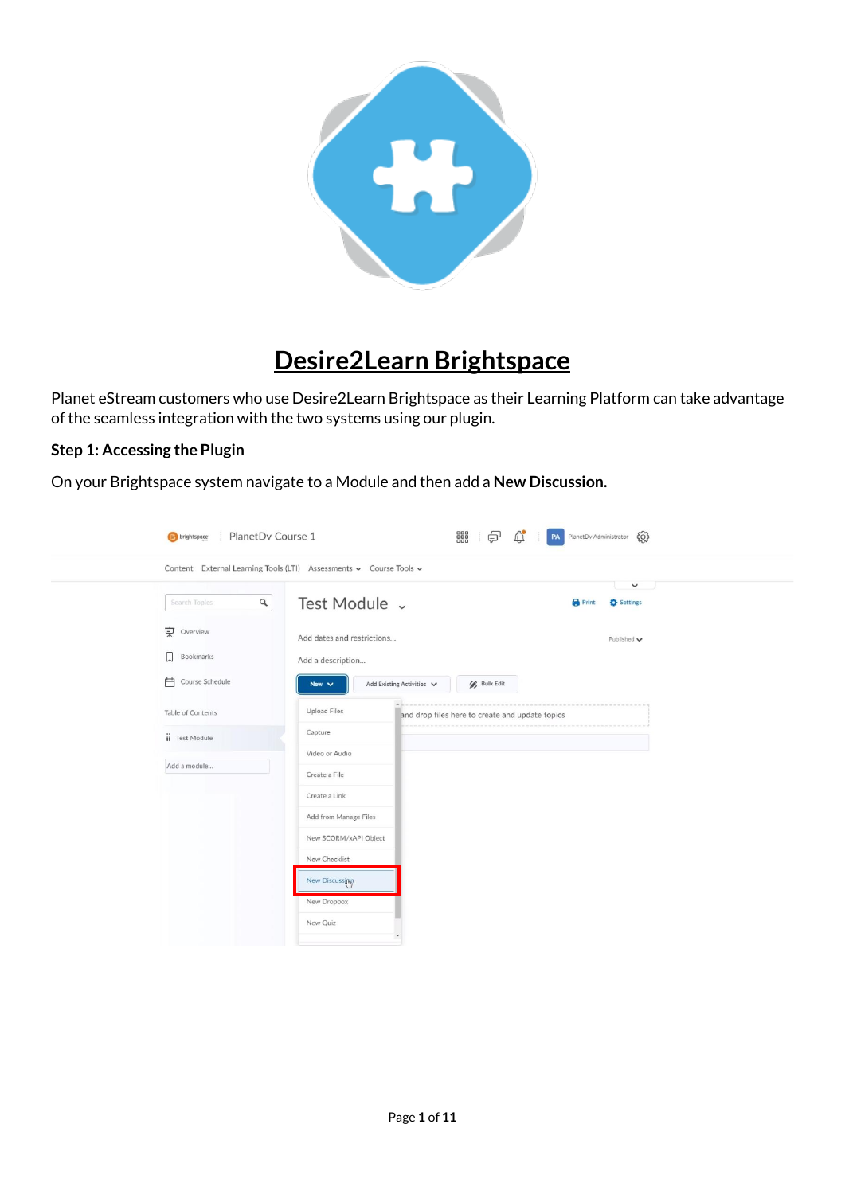

# **Desire2Learn Brightspace**

Planet eStream customers who use Desire2Learn Brightspace as their Learning Platform can take advantage of the seamless integration with the two systems using our plugin.

#### **Step 1: Accessing the Plugin**

On your Brightspace system navigate to a Module and then add a **New Discussion.**

| <b>E</b> brightspace                                               | PlanetDv Course 1          |                           |                                                 | 888<br>₽<br>දුරි}<br>PA PlanetDv Administrator |                                 |  |  |
|--------------------------------------------------------------------|----------------------------|---------------------------|-------------------------------------------------|------------------------------------------------|---------------------------------|--|--|
| Content External Learning Tools (LTI) Assessments v Course Tools v |                            |                           |                                                 |                                                |                                 |  |  |
| $\alpha$<br>Search Topics                                          | Test Module v              |                           |                                                 | <b>Print</b>                                   | $\checkmark$<br>- 4<br>Settings |  |  |
| <b>東</b> Overview                                                  | Add dates and restrictions |                           |                                                 |                                                | Published $\blacktriangleright$ |  |  |
| П<br>Bookmarks                                                     | Add a description          |                           |                                                 |                                                |                                 |  |  |
| 户<br>Course Schedule                                               | New $\vee$                 | Add Existing Activities V | <b>Bulk Edit</b>                                |                                                |                                 |  |  |
| Table of Contents                                                  | <b>Upload Files</b>        |                           | and drop files here to create and update topics |                                                |                                 |  |  |
| Fest Module                                                        | Capture                    |                           |                                                 |                                                |                                 |  |  |
| Add a module                                                       | Video or Audio             |                           |                                                 |                                                |                                 |  |  |
|                                                                    | Create a File              |                           |                                                 |                                                |                                 |  |  |
|                                                                    | Create a Link              |                           |                                                 |                                                |                                 |  |  |
|                                                                    | Add from Manage Files      |                           |                                                 |                                                |                                 |  |  |
|                                                                    | New SCORM/xAPI Object      |                           |                                                 |                                                |                                 |  |  |
|                                                                    | New Checklist              |                           |                                                 |                                                |                                 |  |  |
|                                                                    | New Discussing             |                           |                                                 |                                                |                                 |  |  |
|                                                                    | New Dropbox                |                           |                                                 |                                                |                                 |  |  |
|                                                                    | New Quiz                   |                           |                                                 |                                                |                                 |  |  |
|                                                                    |                            |                           |                                                 |                                                |                                 |  |  |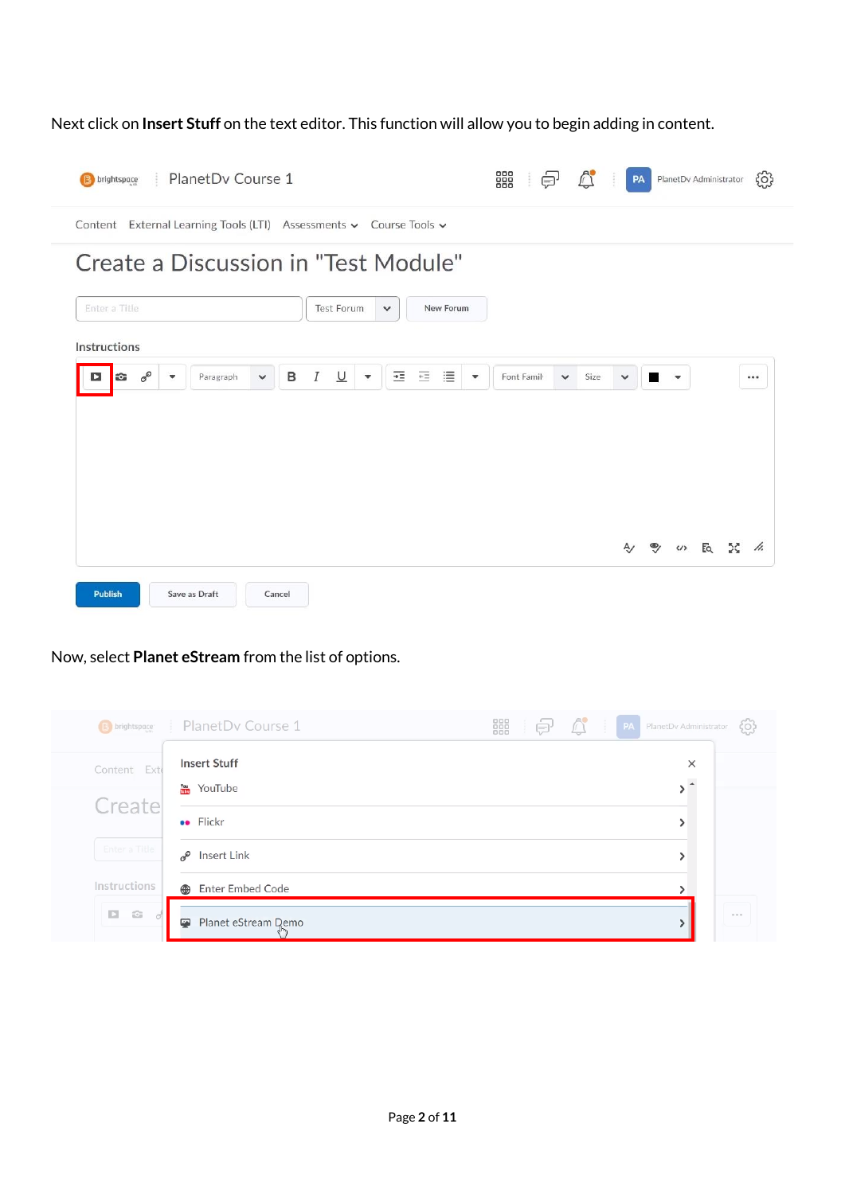Next click on **Insert Stuff** on the text editor. This function will allow you to begin adding in content.



Now, select **Planet eStream** from the list of options.

| <b>B</b> brightspace | PlanetDv Course 1               | 器<br>$\blacksquare$<br>÷ | PA PlanetDv Administrator<br>{0}     |
|----------------------|---------------------------------|--------------------------|--------------------------------------|
| Content Exte         | <b>Insert Stuff</b>             |                          | $\times$<br>$\overline{\phantom{a}}$ |
| Create               | YouTube<br><b>••</b> Flickr     |                          |                                      |
| Enter a Title        | Insert Link<br>$\sigma^{\circ}$ |                          |                                      |
| Instructions         | <b>Enter Embed Code</b><br>⊕    |                          |                                      |
| $D - C$<br>ď         | Planet eStream Demo<br>Ø        |                          | 0.0.0                                |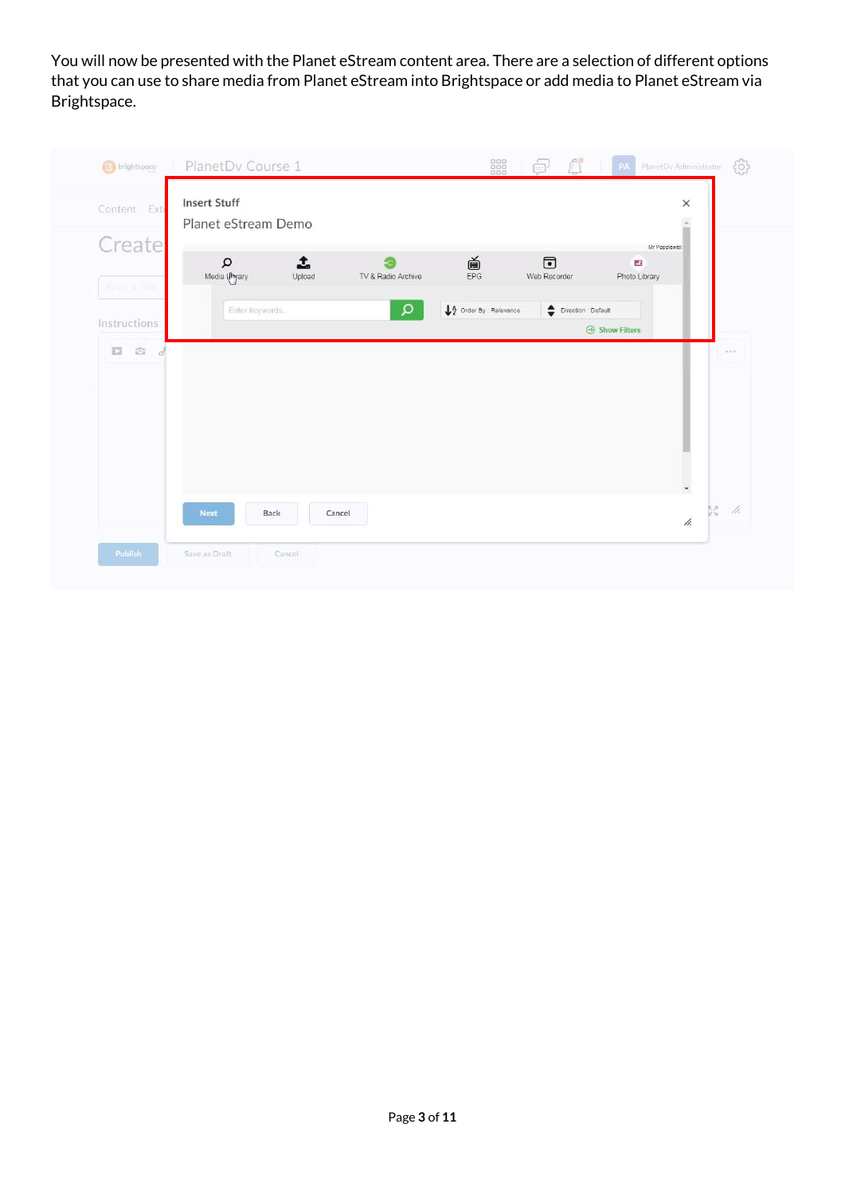You will now be presented with the Planet eStream content area. There are a selection of different options that you can use to share media from Planet eStream into Brightspace or add media to Planet eStream via Brightspace.

|               | Planet eStream Demo              |             |                    |                                              |                                                                        | $\Delta$                       |  |
|---------------|----------------------------------|-------------|--------------------|----------------------------------------------|------------------------------------------------------------------------|--------------------------------|--|
| Create        |                                  |             |                    |                                              |                                                                        | Mr Popplewell                  |  |
| Enter a Title | $\mathsf \Omega$<br>Media Umyary | 1<br>Upload | TV & Radio Archive | $\bigoplus_{\text{EPG}}$                     | $\bigcirc$<br>Web Recorder                                             | $\mathcal{A}$<br>Photo Library |  |
|               | Enter keywords.                  |             | Q                  | $\bigdownarrow_{2}^{A}$ Order By : Relevance | $\begin{tabular}{ll} \quad \textbf{Direction : Default} \end{tabular}$ |                                |  |
| Instructions  |                                  |             |                    |                                              |                                                                        | $\Theta$ Show Filters          |  |
|               |                                  |             |                    |                                              |                                                                        |                                |  |
|               |                                  |             |                    |                                              |                                                                        |                                |  |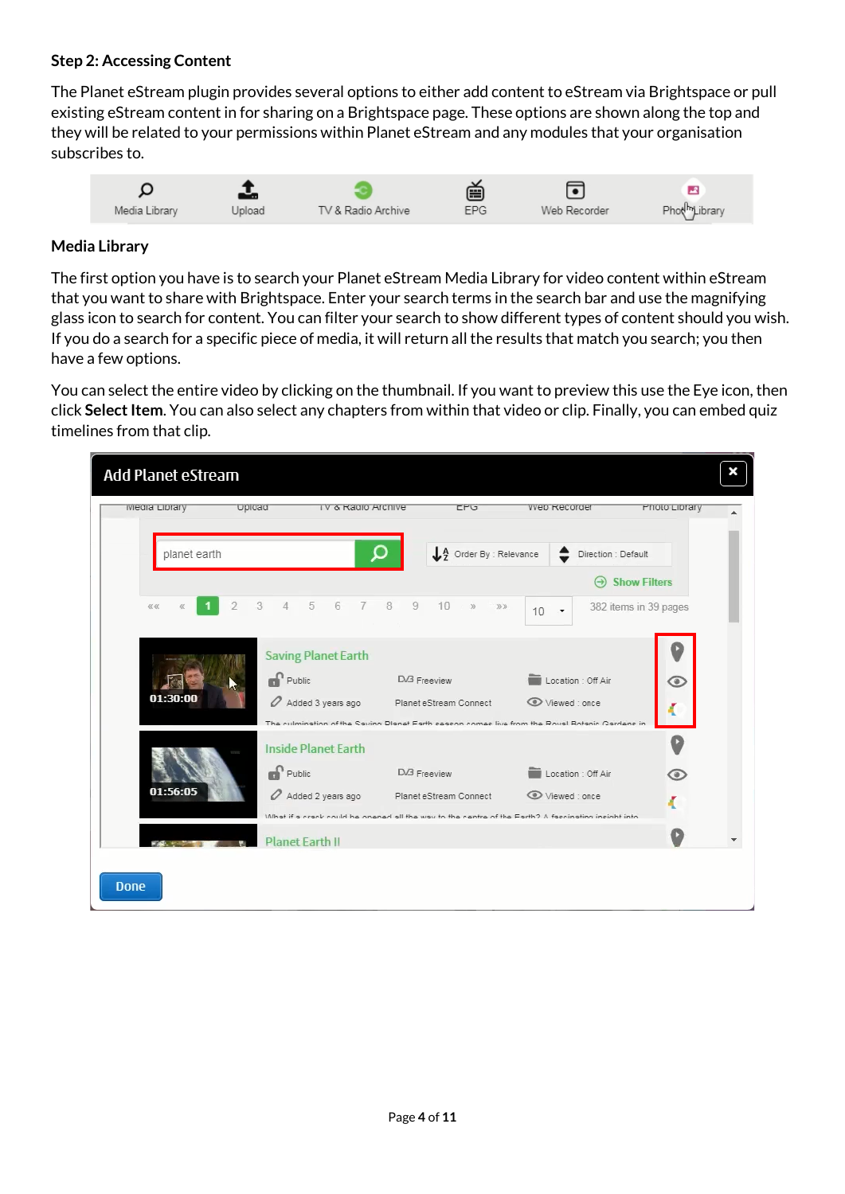### **Step 2: Accessing Content**

The Planet eStream plugin provides several options to either add content to eStream via Brightspace or pull existing eStream content in for sharing on a Brightspace page. These options are shown along the top and they will be related to your permissions within Planet eStream and any modules that your organisation subscribes to.



#### **Media Library**

The first option you have is to search your Planet eStream Media Library for video content within eStream that you want to share with Brightspace. Enter your search terms in the search bar and use the magnifying glass icon to search for content. You can filter your search to show different types of content should you wish. If you do a search for a specific piece of media, it will return all the results that match you search; you then have a few options.

You can select the entire video by clicking on the thumbnail. If you want to preview this use the Eye icon, then click **Select Item**. You can also select any chapters from within that video or clip. Finally, you can embed quiz timelines from that clip.

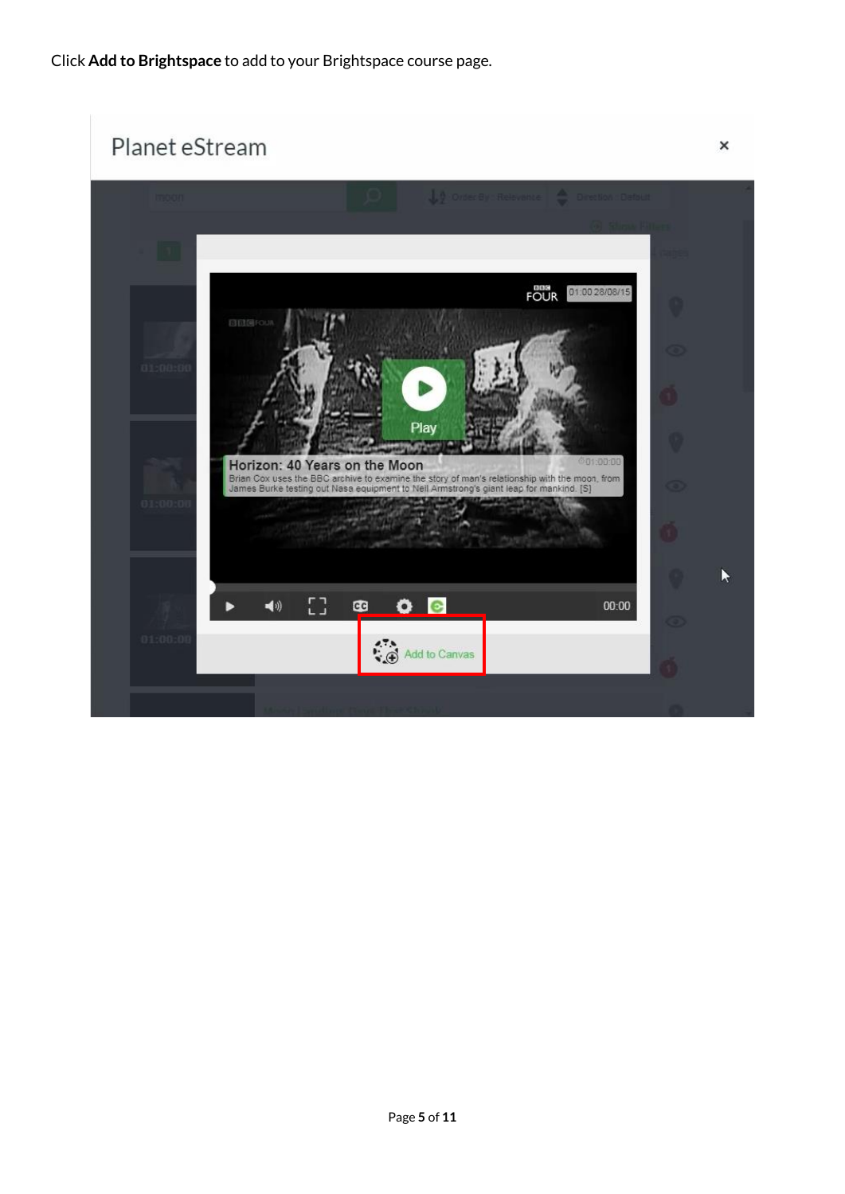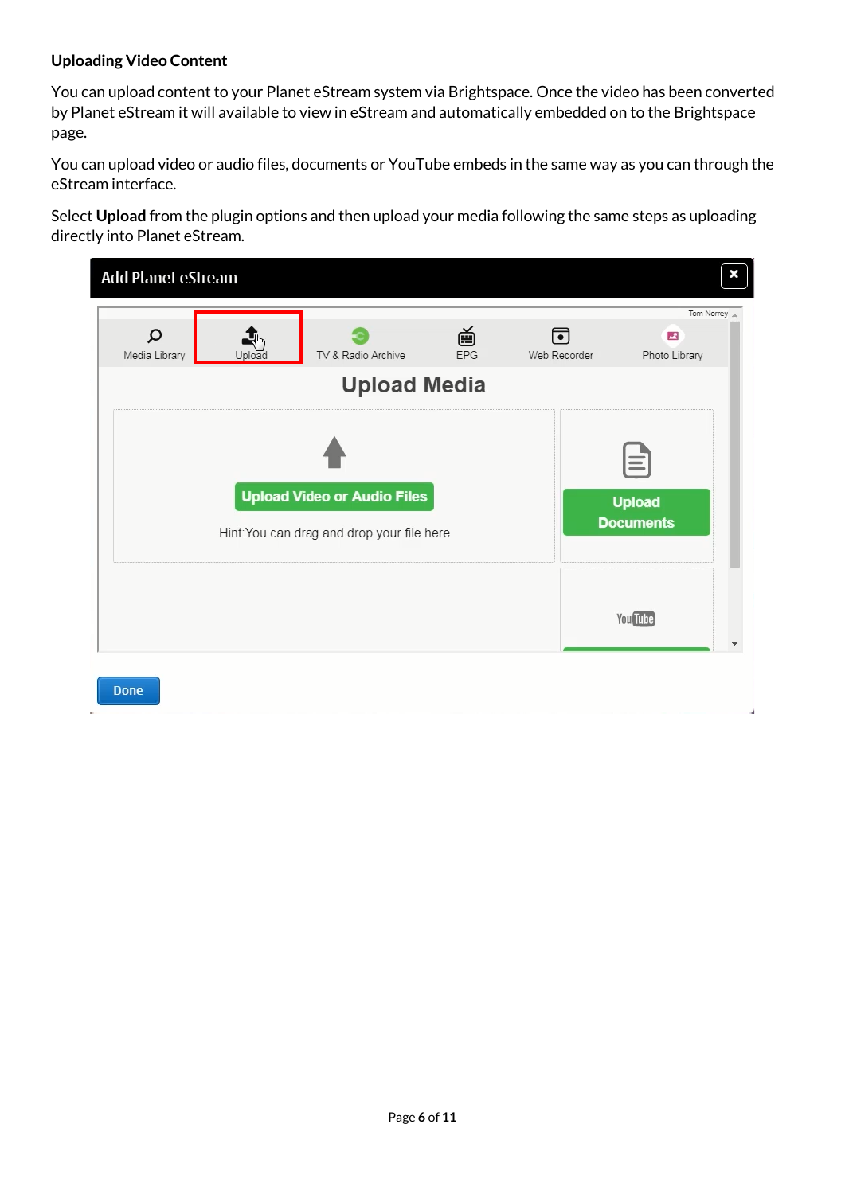#### **Uploading Video Content**

You can upload content to your Planet eStream system via Brightspace. Once the video has been converted by Planet eStream it will available to view in eStream and automatically embedded on to the Brightspace page.

You can upload video or audio files, documents or YouTube embeds in the same way as you can through the eStream interface.

Select **Upload** from the plugin options and then upload your media following the same steps as uploading directly into Planet eStream.

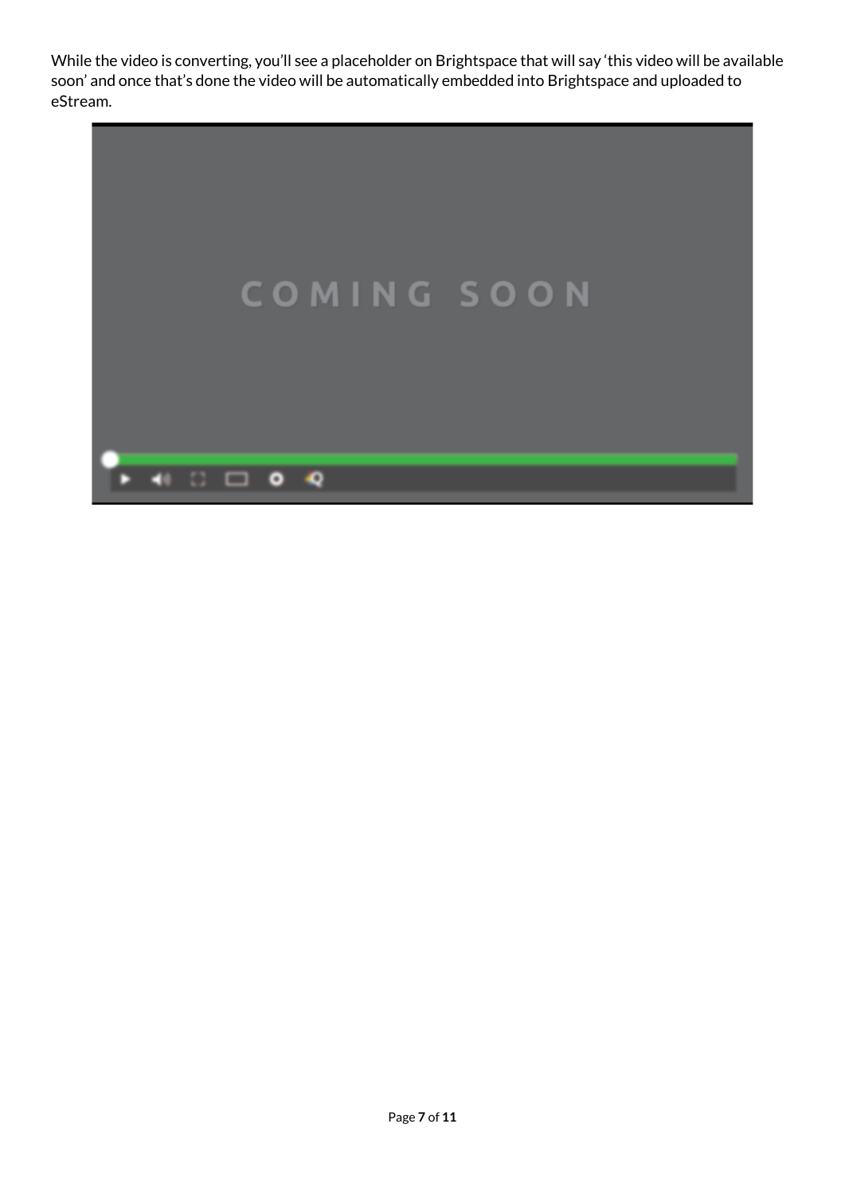While the video is converting, you'll see a placeholder on Brightspace that will say 'this video will be available soon' and once that's done the video will be automatically embedded into Brightspace and uploaded to eStream.

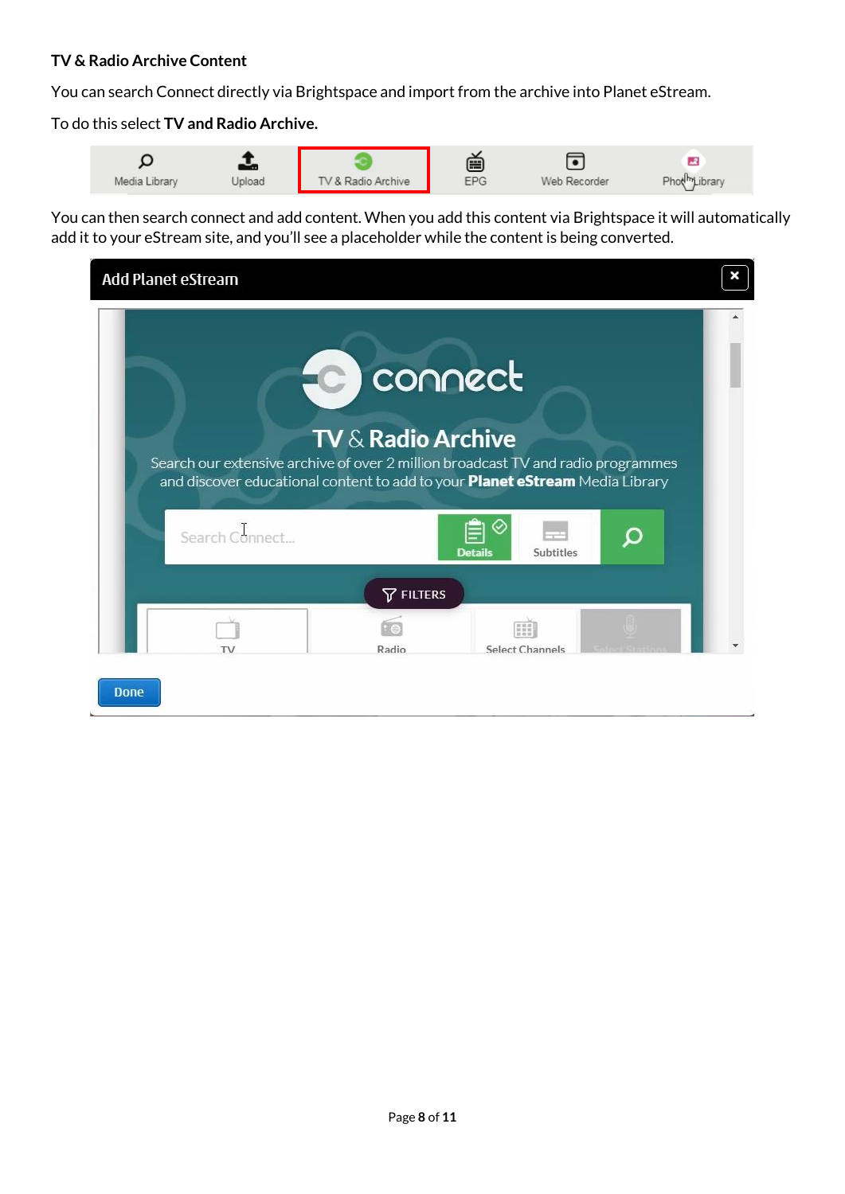#### **TV & Radio Archive Content**

You can search Connect directly via Brightspace and import from the archive into Planet eStream.

To do this select **TV and Radio Archive.**

You can then search connect and add content. When you add this content via Brightspace it will automatically add it to your eStream site, and you'll see a placeholder while the content is being converted.

| Add Planet eStream                                                                                                                                                                 |                                                                |                 |  |
|------------------------------------------------------------------------------------------------------------------------------------------------------------------------------------|----------------------------------------------------------------|-----------------|--|
| Search our extensive archive of over 2 million broadcast TV and radio programmes<br>and discover educational content to add to your Planet eStream Media Library<br>Search Connect | for connect<br><b>TV &amp; Radio Archive</b><br><b>Details</b> | Subtitles       |  |
| TV                                                                                                                                                                                 | <b>T</b> FILTERS<br>Radio                                      | Select Channels |  |
| <b>Done</b>                                                                                                                                                                        |                                                                |                 |  |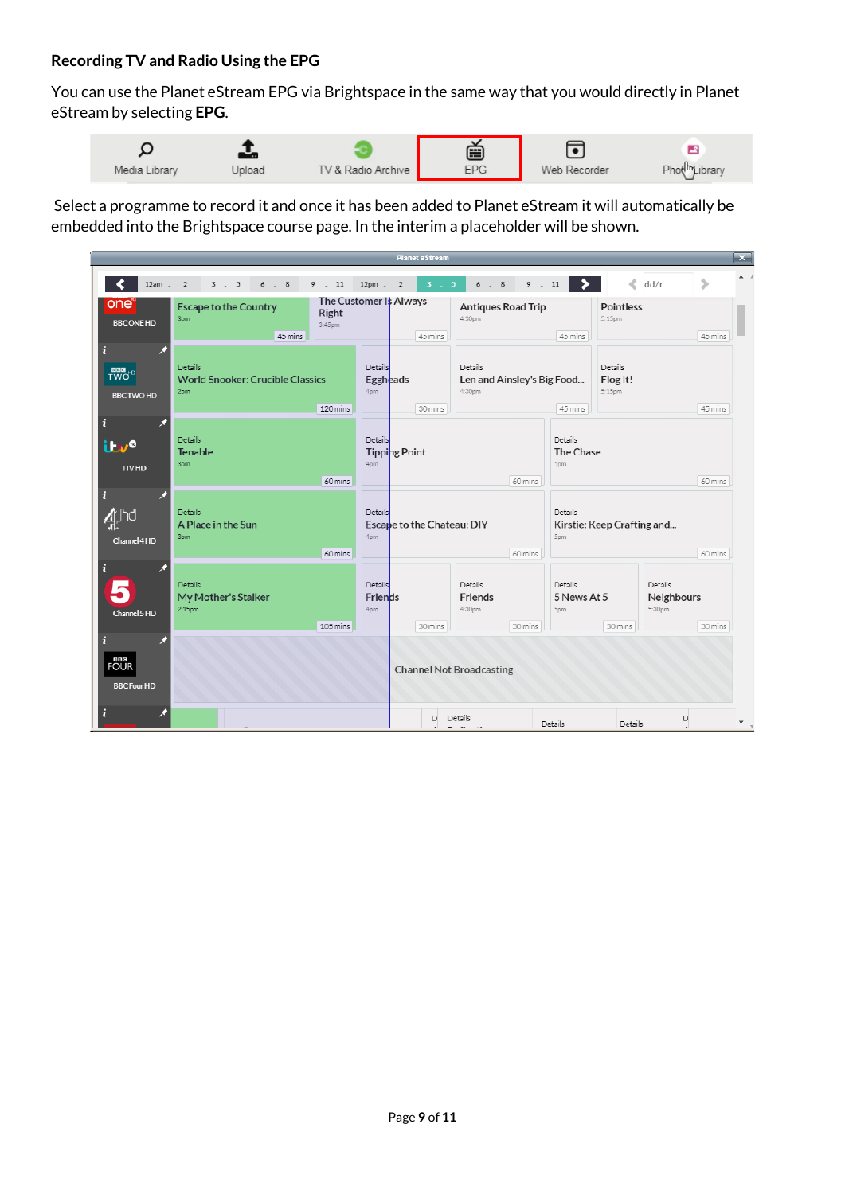#### **Recording TV and Radio Using the EPG**

You can use the Planet eStream EPG via Brightspace in the same way that you would directly in Planet eStream by selecting **EPG**.



Select a programme to record it and once it has been added to Planet eStream it will automatically be embedded into the Brightspace course page. In the interim a placeholder will be shown.

|                                          |                                                           |                                           |                                    | <b>Planet e Stream</b>          |                                                 |                                                         |                               |                               |                                 |                          |
|------------------------------------------|-----------------------------------------------------------|-------------------------------------------|------------------------------------|---------------------------------|-------------------------------------------------|---------------------------------------------------------|-------------------------------|-------------------------------|---------------------------------|--------------------------|
| $12am - 2$                               | $3 \cdot 5$<br>6.8                                        | 9.11                                      | 12pm . 2                           | $3-1$<br>5 <sup>5</sup>         | 6.8                                             | 9.11                                                    | ,                             | $\mathcal{L}$                 | dd/r                            | ⋟                        |
| one<br><b>BBCONEHD</b>                   | <b>Escape to the Country</b><br>3pm<br>45 mins            | The Customer It Always<br>Right<br>3:45pm |                                    | 45 mins                         | <b>Antiques Road Trip</b><br>4:30pm             |                                                         | 45 mins                       | <b>Pointless</b><br>5:15pm    |                                 | 45 mins                  |
| TWO <sup>-O</sup><br><b>BBC TWO HD</b>   | Details<br><b>World Snooker: Crucible Classics</b><br>2pm | 120 mins                                  | Details<br><b>Eggh</b> eads<br>4pm | 30 mins                         | Details<br>Len and Ainsley's Big Food<br>4:30pm |                                                         | 45 mins                       | Details<br>Flog It!<br>5:15pm |                                 | 45 mins                  |
| ń<br><b>ilw®</b><br><b>ITVHD</b>         | Details<br><b>Tenable</b><br>3pm                          | 60 mins                                   | Details<br>4pm                     | Tipping Point                   |                                                 | 60 mins                                                 | Details<br>The Chase<br>5pm   |                               |                                 | 60 mins                  |
| п<br>Channel 4HD                         | Details<br>A Place in the Sun<br>3pm                      | 60 mins                                   | Details<br>4pm                     | Escape to the Chateau: DIY      | 60 mins                                         | Details<br>Kirstie: Keep Crafting and<br>5pm<br>60 mins |                               |                               |                                 |                          |
| Channel 5 HD                             | <b>Details</b><br>My Mother's Stalker<br>$2:15$ pm        | 105 mins                                  | Details<br>Friends<br>4pm          | 30 mins                         | <b>Details</b><br>Friends<br>4:30pm             | 30 mins                                                 | Details<br>5 News At 5<br>5pm | 30 mins                       | Details<br>Neighbours<br>5:30pm | 30 mins                  |
| <b>BBB</b><br>FOUR<br><b>BBC Four HD</b> |                                                           |                                           |                                    | <b>Channel Not Broadcasting</b> |                                                 |                                                         |                               |                               |                                 |                          |
|                                          |                                                           |                                           |                                    | D.                              | Details                                         |                                                         | Details                       | Details                       | D                               | $\overline{\phantom{a}}$ |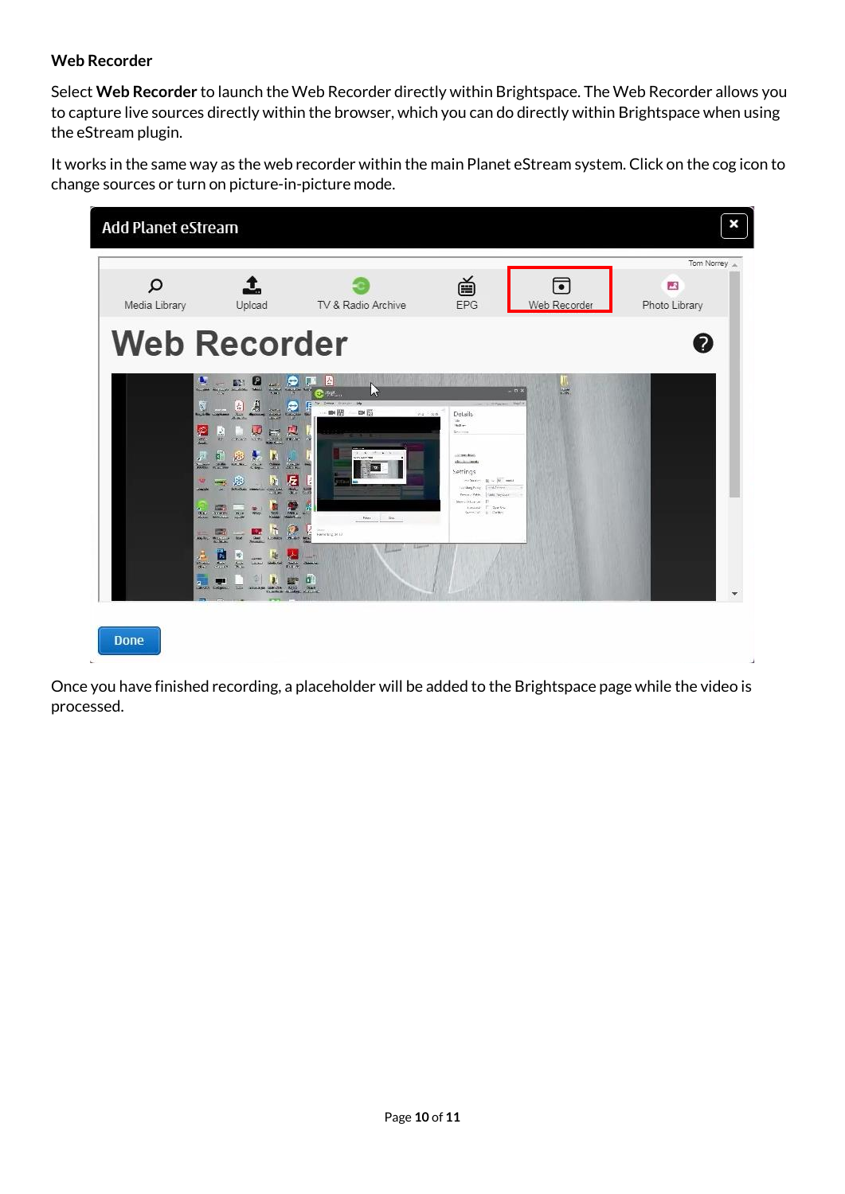#### **Web Recorder**

Select **Web Recorder** to launch the Web Recorder directly within Brightspace. The Web Recorder allows you to capture live sources directly within the browser, which you can do directly within Brightspace when using the eStream plugin.

It works in the same way as the web recorder within the main Planet eStream system. Click on the cog icon to change sources or turn on picture-in-picture mode.



Once you have finished recording, a placeholder will be added to the Brightspace page while the video is processed.